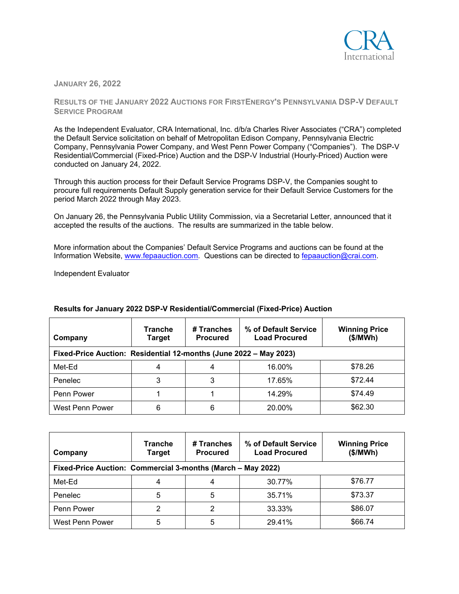

**JANUARY 26, 2022**

**RESULTS OF THE JANUARY 2022 AUCTIONS FOR FIRSTENERGY'S PENNSYLVANIA DSP-V DEFAULT SERVICE PROGRAM**

As the Independent Evaluator, CRA International, Inc. d/b/a Charles River Associates ("CRA") completed the Default Service solicitation on behalf of Metropolitan Edison Company, Pennsylvania Electric Company, Pennsylvania Power Company, and West Penn Power Company ("Companies"). The DSP-V Residential/Commercial (Fixed-Price) Auction and the DSP-V Industrial (Hourly-Priced) Auction were conducted on January 24, 2022.

Through this auction process for their Default Service Programs DSP-V, the Companies sought to procure full requirements Default Supply generation service for their Default Service Customers for the period March 2022 through May 2023.

On January 26, the Pennsylvania Public Utility Commission, via a Secretarial Letter, announced that it accepted the results of the auctions. The results are summarized in the table below.

More information about the Companies' Default Service Programs and auctions can be found at the Information Website, [www.fepaauction.com.](http://www.fepaauction.com/) Questions can be directed to [fepaauction@crai.com.](mailto:fepaauction@crai.com)

Independent Evaluator

| Company                                                           | <b>Tranche</b><br>Target | # Tranches<br><b>Procured</b> | % of Default Service<br><b>Load Procured</b> | <b>Winning Price</b><br>(\$/MWh) |  |
|-------------------------------------------------------------------|--------------------------|-------------------------------|----------------------------------------------|----------------------------------|--|
| Fixed-Price Auction: Residential 12-months (June 2022 – May 2023) |                          |                               |                                              |                                  |  |
| Met-Ed                                                            |                          |                               | 16.00%                                       | \$78.26                          |  |
| Penelec                                                           |                          | 3                             | 17.65%                                       | \$72.44                          |  |
| Penn Power                                                        |                          |                               | 14.29%                                       | \$74.49                          |  |
| West Penn Power                                                   | 6                        | 6                             | 20.00%                                       | \$62.30                          |  |

## **Results for January 2022 DSP-V Residential/Commercial (Fixed-Price) Auction**

| Company                                                     | <b>Tranche</b><br>Target | # Tranches<br><b>Procured</b> | % of Default Service<br><b>Load Procured</b> | <b>Winning Price</b><br>(\$/MWh) |  |
|-------------------------------------------------------------|--------------------------|-------------------------------|----------------------------------------------|----------------------------------|--|
| Fixed-Price Auction: Commercial 3-months (March - May 2022) |                          |                               |                                              |                                  |  |
| Met-Ed                                                      | 4                        |                               | 30.77%                                       | \$76.77                          |  |
| Penelec                                                     | 5                        | 5                             | 35.71%                                       | \$73.37                          |  |
| Penn Power                                                  | 2                        | 2                             | 33.33%                                       | \$86.07                          |  |
| West Penn Power                                             | 5                        | 5                             | 29.41%                                       | \$66.74                          |  |